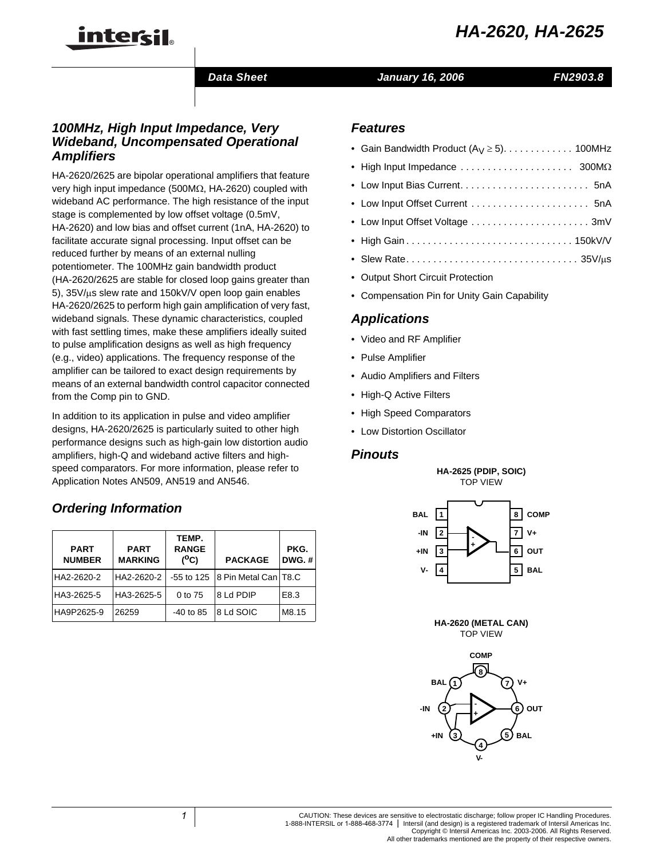

# *Data Sheet January 16, 2006 FN2903.8*

# *100MHz, High Input Impedance, Very Wideband, Uncompensated Operational Amplifiers*

HA-2620/2625 are bipolar operational amplifiers that feature very high input impedance (500MΩ, HA-2620) coupled with wideband AC performance. The high resistance of the input stage is complemented by low offset voltage (0.5mV, HA-2620) and low bias and offset current (1nA, HA-2620) to facilitate accurate signal processing. Input offset can be reduced further by means of an external nulling potentiometer. The 100MHz gain bandwidth product (HA-2620/2625 are stable for closed loop gains greater than 5), 35V/µs slew rate and 150kV/V open loop gain enables HA-2620/2625 to perform high gain amplification of very fast, wideband signals. These dynamic characteristics, coupled with fast settling times, make these amplifiers ideally suited to pulse amplification designs as well as high frequency (e.g., video) applications. The frequency response of the amplifier can be tailored to exact design requirements by means of an external bandwidth control capacitor connected from the Comp pin to GND.

In addition to its application in pulse and video amplifier designs, HA-2620/2625 is particularly suited to other high performance designs such as high-gain low distortion audio amplifiers, high-Q and wideband active filters and highspeed comparators. For more information, please refer to Application Notes AN509, AN519 and AN546.

# *Ordering Information*

| <b>PART</b><br><b>NUMBER</b> | <b>PART</b><br><b>MARKING</b> | TEMP.<br><b>RANGE</b><br>$(^oC)$<br><b>PACKAGE</b> |                        | PKG.<br>$DWG.$ # |
|------------------------------|-------------------------------|----------------------------------------------------|------------------------|------------------|
| HA2-2620-2                   | HA2-2620-2                    | $-55$ to 125                                       | 8 Pin Metal Can   T8.C |                  |
| HA3-2625-5                   | HA3-2625-5                    | 0 to 75                                            | 8 Ld PDIP              | E8.3             |
| HA9P2625-9                   | 26259                         | $-40$ to 85                                        | 8 Ld SOIC              | M8.15            |

# *Features*

| • Gain Bandwidth Product $(A_V \ge 5)$ . 100MHz                                  |  |
|----------------------------------------------------------------------------------|--|
| • High Input Impedance $\ldots \ldots \ldots \ldots \ldots \ldots$ 300M $\Omega$ |  |
|                                                                                  |  |
|                                                                                  |  |
|                                                                                  |  |
|                                                                                  |  |
|                                                                                  |  |
| • Output Short Circuit Protection                                                |  |

• Compensation Pin for Unity Gain Capability

# *Applications*

- Video and RF Amplifier
- Pulse Amplifier
- Audio Amplifiers and Filters
- High-Q Active Filters
- High Speed Comparators
- Low Distortion Oscillator

# *Pinouts*

**HA-2625 (PDIP, SOIC)** TOP VIEW



**HA-2620 (METAL CAN)** TOP VIEW

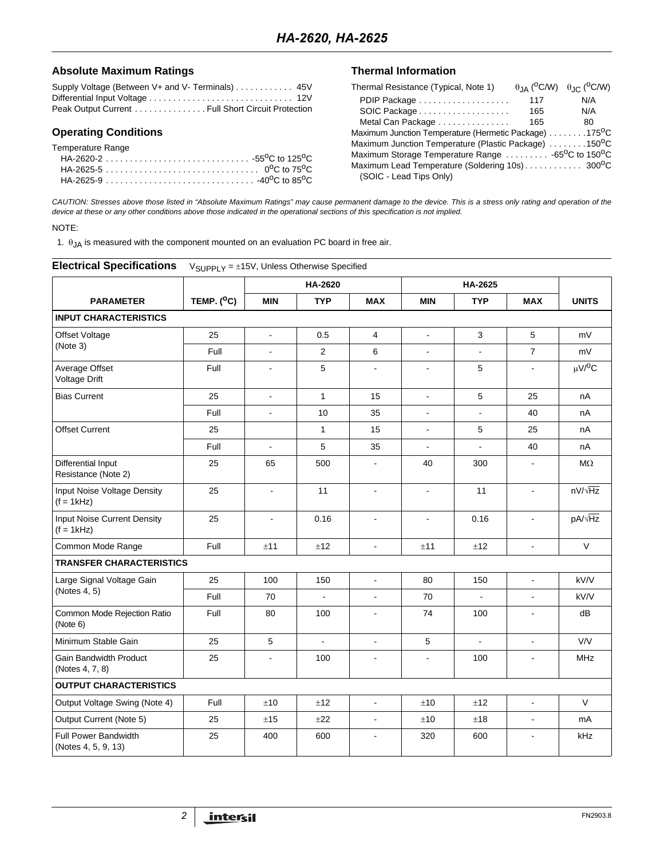## Absolute Maximum Ratings **Thermal Information**

| Supply Voltage (Between V+ and V- Terminals) 45V  |  |
|---------------------------------------------------|--|
|                                                   |  |
| Peak Output Current Full Short Circuit Protection |  |

# **Operating Conditions**

| Temperature Range |  |
|-------------------|--|
|-------------------|--|

| Thermal Resistance (Typical, Note 1)                                        |     | $\theta$ JA ( <sup>O</sup> C/W) $\theta$ JC ( <sup>O</sup> C/W) |
|-----------------------------------------------------------------------------|-----|-----------------------------------------------------------------|
| PDIP Package                                                                | 117 | N/A                                                             |
| SOIC Package                                                                | 165 | N/A                                                             |
| Metal Can Package                                                           | 165 | 80                                                              |
| Maximum Junction Temperature (Hermetic Package) 175 <sup>0</sup> C          |     |                                                                 |
| Maximum Junction Temperature (Plastic Package) 150 <sup>o</sup> C           |     |                                                                 |
| Maximum Storage Temperature Range  -65 <sup>o</sup> C to 150 <sup>o</sup> C |     |                                                                 |
| Maximum Lead Temperature (Soldering 10s) 300°C                              |     |                                                                 |
| (SOIC - Lead Tips Only)                                                     |     |                                                                 |

*CAUTION: Stresses above those listed in "Absolute Maximum Ratings" may cause permanent damage to the device. This is a stress only rating and operation of the device at these or any other conditions above those indicated in the operational sections of this specification is not implied.*

## NOTE:

1.  $\theta_{JA}$  is measured with the component mounted on an evaluation PC board in free air.

| <b>Electrical Specifications</b>                   | $V_{\text{SUPPLY}} = \pm 15V$ , Unless Otherwise Specified |                       |                          |                |                          |                |                |                         |
|----------------------------------------------------|------------------------------------------------------------|-----------------------|--------------------------|----------------|--------------------------|----------------|----------------|-------------------------|
|                                                    |                                                            |                       | <b>HA-2620</b>           |                |                          | HA-2625        |                |                         |
| <b>PARAMETER</b>                                   | TEMP. $(^{0}C)$                                            | <b>MIN</b>            | <b>TYP</b>               | <b>MAX</b>     | <b>MIN</b>               | <b>TYP</b>     | <b>MAX</b>     | <b>UNITS</b>            |
| <b>INPUT CHARACTERISTICS</b>                       |                                                            |                       |                          |                |                          |                |                |                         |
| Offset Voltage                                     | 25                                                         | $\blacksquare$        | 0.5                      | 4              | $\Box$                   | 3              | 5              | mV                      |
| (Note 3)                                           | Full                                                       | $\sim$                | $\mathbf{2}$             | 6              |                          |                | $\overline{7}$ | mV                      |
| Average Offset<br>Voltage Drift                    | Full                                                       | $\blacksquare$        | 5                        | $\blacksquare$ | $\blacksquare$           | $\sqrt{5}$     | $\blacksquare$ | $\mu$ V/ <sup>O</sup> C |
| <b>Bias Current</b>                                | 25                                                         | $\sim$                | $\mathbf{1}$             | 15             | $\overline{\phantom{a}}$ | 5              | 25             | nA                      |
|                                                    | Full                                                       | $\tilde{\phantom{a}}$ | 10                       | 35             | $\overline{a}$           |                | 40             | nA                      |
| <b>Offset Current</b>                              | 25                                                         |                       | $\mathbf{1}$             | 15             | $\blacksquare$           | 5              | 25             | nA                      |
|                                                    | Full                                                       | $\overline{a}$        | 5                        | 35             | $\blacksquare$           | $\overline{a}$ | 40             | nA                      |
| Differential Input<br>Resistance (Note 2)          | 25                                                         | 65                    | 500                      | $\blacksquare$ | 40                       | 300            |                | $M\Omega$               |
| Input Noise Voltage Density<br>$(f = 1kHz)$        | 25                                                         | $\blacksquare$        | 11                       | ÷,             | $\overline{a}$           | 11             |                | $nV/\sqrt{Hz}$          |
| <b>Input Noise Current Density</b><br>$(f = 1kHz)$ | 25                                                         | $\overline{a}$        | 0.16                     | ÷              | $\overline{a}$           | 0.16           |                | pA/ $\sqrt{Hz}$         |
| Common Mode Range                                  | Full                                                       | ±11                   | ±12                      | $\blacksquare$ | ±11                      | ±12            | $\blacksquare$ | $\vee$                  |
| <b>TRANSFER CHARACTERISTICS</b>                    |                                                            |                       |                          |                |                          |                |                |                         |
| Large Signal Voltage Gain                          | 25                                                         | 100                   | 150                      | $\Box$         | 80                       | 150            | $\blacksquare$ | kV/V                    |
| (Notes 4, 5)                                       | Full                                                       | 70                    |                          | $\overline{a}$ | 70                       | $\overline{a}$ |                | kV/V                    |
| Common Mode Rejection Ratio<br>(Note 6)            | Full                                                       | 80                    | 100                      | $\blacksquare$ | 74                       | 100            | $\overline{a}$ | dB                      |
| Minimum Stable Gain                                | 25                                                         | 5                     | $\overline{\phantom{a}}$ | $\blacksquare$ | 5                        | $\blacksquare$ | $\blacksquare$ | V/V                     |
| Gain Bandwidth Product<br>(Notes 4, 7, 8)          | 25                                                         | $\overline{a}$        | 100                      | $\overline{a}$ |                          | 100            |                | <b>MHz</b>              |
| <b>OUTPUT CHARACTERISTICS</b>                      |                                                            |                       |                          |                |                          |                |                |                         |
| Output Voltage Swing (Note 4)                      | Full                                                       | ±10                   | ±12                      | $\blacksquare$ | ±10                      | ±12            | ä,             | $\vee$                  |
| Output Current (Note 5)                            | 25                                                         | ±15                   | ±22                      | $\blacksquare$ | ±10                      | ±18            | $\blacksquare$ | mA                      |
| <b>Full Power Bandwidth</b><br>(Notes 4, 5, 9, 13) | 25                                                         | 400                   | 600                      | $\blacksquare$ | 320                      | 600            |                | kHz                     |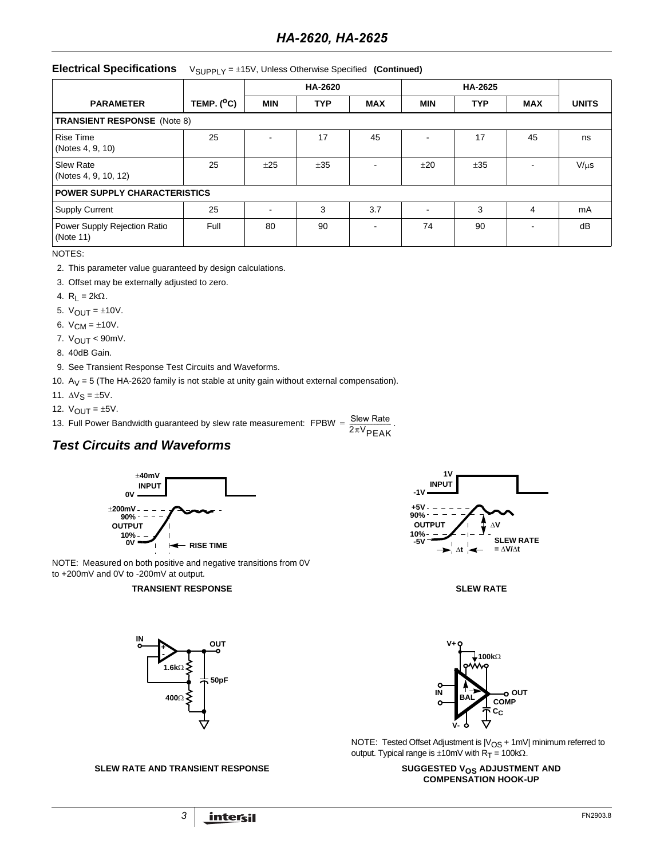# **Electrical Specifications** V<sub>SUPPLY</sub> = ±15V, Unless Otherwise Specified (Continued)

|                                           |                     |            | HA-2620    |            |            | HA-2625    |            |              |  |
|-------------------------------------------|---------------------|------------|------------|------------|------------|------------|------------|--------------|--|
| <b>PARAMETER</b>                          | TEMP. $(^{\circ}C)$ | <b>MIN</b> | <b>TYP</b> | <b>MAX</b> | <b>MIN</b> | <b>TYP</b> | <b>MAX</b> | <b>UNITS</b> |  |
| <b>TRANSIENT RESPONSE</b> (Note 8)        |                     |            |            |            |            |            |            |              |  |
| <b>Rise Time</b><br>(Notes 4, 9, 10)      | 25                  |            | 17         | 45         | ۰          | 17         | 45         | ns           |  |
| <b>Slew Rate</b><br>(Notes 4, 9, 10, 12)  | 25                  | ±25        | ±35        | ۰          | ±20        | ±35        |            | $V/\mu s$    |  |
| <b>POWER SUPPLY CHARACTERISTICS</b>       |                     |            |            |            |            |            |            |              |  |
| <b>Supply Current</b>                     | 25                  | -          | 3          | 3.7        |            | 3          | 4          | mA           |  |
| Power Supply Rejection Ratio<br>(Note 11) | Full                | 80         | 90         |            | 74         | 90         |            | dB           |  |

NOTES:

- 2. This parameter value guaranteed by design calculations.
- 3. Offset may be externally adjusted to zero.
- 4.  $R_L = 2k\Omega$ .
- 5.  $V_{OUT} = \pm 10V$ .
- 6.  $V_{CM} = \pm 10V$ .
- 7.  $V_{OUT}$  < 90mV.
- 8. 40dB Gain.
- 9. See Transient Response Test Circuits and Waveforms.
- 10.  $A_V = 5$  (The HA-2620 family is not stable at unity gain without external compensation).
- 11.  $\Delta V_S = \pm 5V$ .
- 12.  $V_{\text{OUT}} = \pm 5V$ .
- 13. Full Power Bandwidth guaranteed by slew rate measurement: FPBW =  $\frac{\text{Slew Rate}}{\text{SUS}}$ .  $=\frac{5 \text{eV} \cdot \text{Xate}}{2 \pi V_{\text{PEAK}}}$

# *Test Circuits and Waveforms*



NOTE: Measured on both positive and negative transitions from 0V to +200mV and 0V to -200mV at output.

### **TRANSIENT RESPONSE SEEW RATE**









NOTE: Tested Offset Adjustment is  $|V_{OS} + 1mV|$  minimum referred to output. Typical range is  $±10$ mV with R<sub>T</sub> = 100kΩ.

# **COMPENSATION HOOK-UP**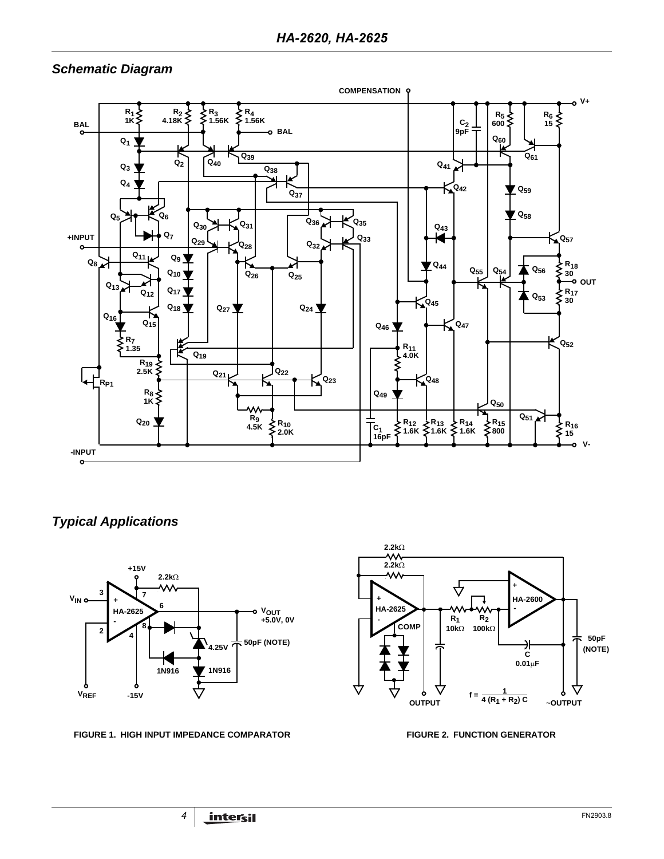# *Schematic Diagram*



*Typical Applications*



**FIGURE 1. HIGH INPUT IMPEDANCE COMPARATOR FIGURE 2. FUNCTION GENERATOR**

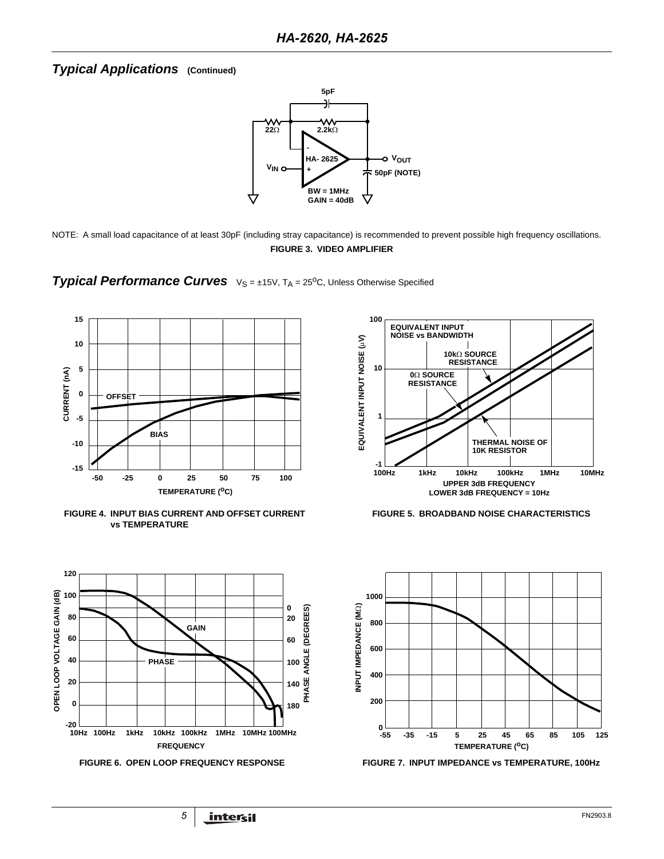# *Typical Applications* **(Continued)**



NOTE: A small load capacitance of at least 30pF (including stray capacitance) is recommended to prevent possible high frequency oscillations. **FIGURE 3. VIDEO AMPLIFIER**

**Typical Performance Curves**  $V_S = \pm 15V$ ,  $T_A = 25^{\circ}$ C, Unless Otherwise Specified



**FIGURE 4. INPUT BIAS CURRENT AND OFFSET CURRENT vs TEMPERATURE**







**FIGURE 5. BROADBAND NOISE CHARACTERISTICS**



**FIGURE 6. OPEN LOOP FREQUENCY RESPONSE FIGURE 7. INPUT IMPEDANCE vs TEMPERATURE, 100Hz**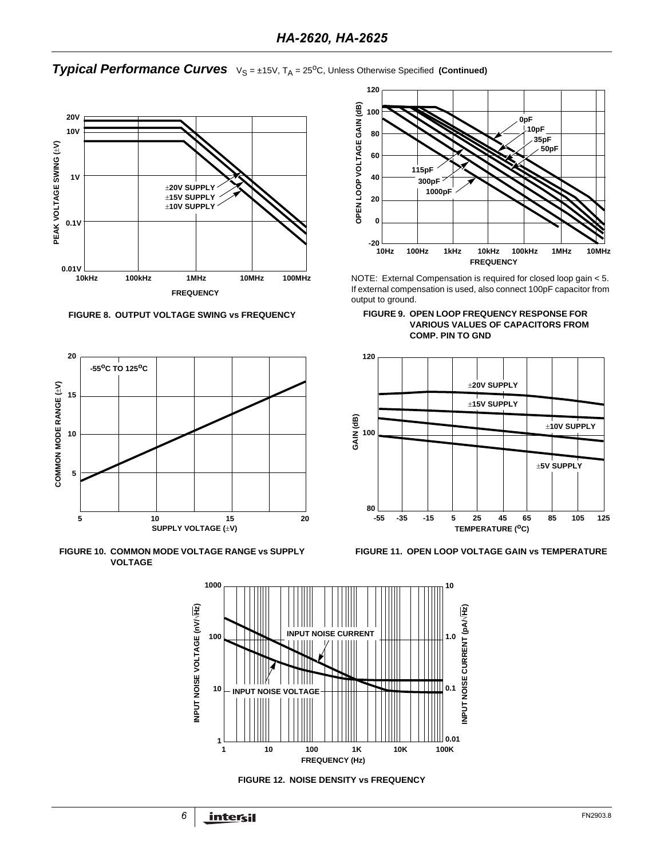**Typical Performance Curves**  $V_S = \pm 15V$ , T<sub>A</sub> = 25<sup>o</sup>C, Unless Otherwise Specified (Continued)



**FIGURE 8. OUTPUT VOLTAGE SWING vs FREQUENCY**



**FIGURE 10. COMMON MODE VOLTAGE RANGE vs SUPPLY VOLTAGE**



NOTE: External Compensation is required for closed loop gain < 5. If external compensation is used, also connect 100pF capacitor from output to ground.





**FIGURE 11. OPEN LOOP VOLTAGE GAIN vs TEMPERATURE**



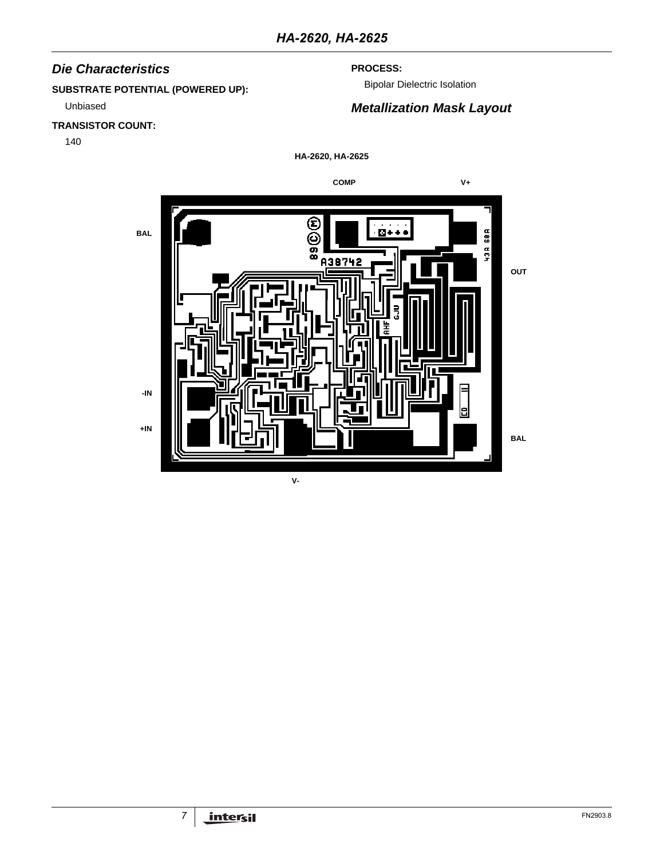# *Die Characteristics*

# **SUBSTRATE POTENTIAL (POWERED UP):**

Unbiased

# **TRANSISTOR COUNT:**

140

# **PROCESS:**

Bipolar Dielectric Isolation

# *Metallization Mask Layout*

**HA-2620, HA-2625**

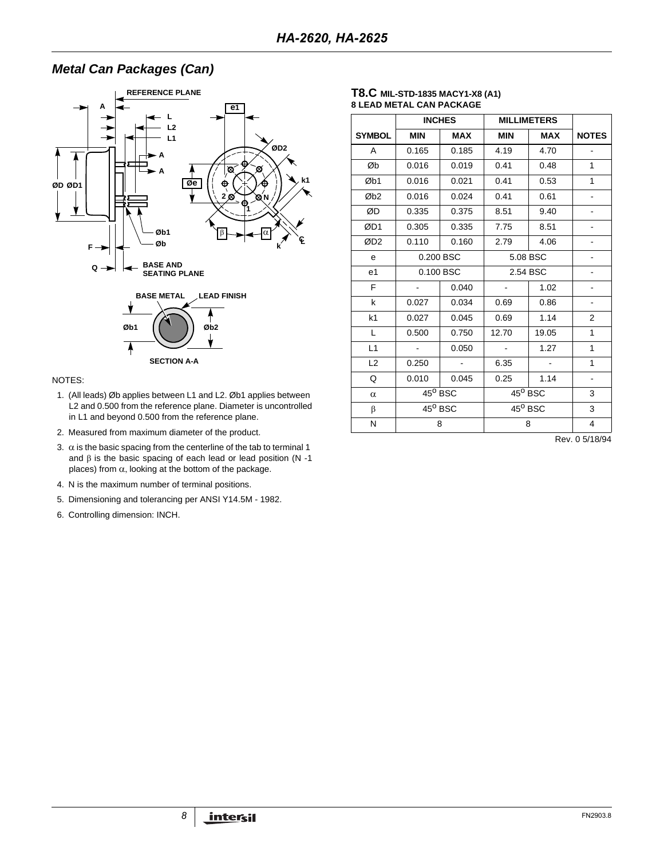# *Metal Can Packages (Can)*



## NOTES:

- 1. (All leads) Øb applies between L1 and L2. Øb1 applies between L2 and 0.500 from the reference plane. Diameter is uncontrolled in L1 and beyond 0.500 from the reference plane.
- 2. Measured from maximum diameter of the product.
- 3.  $\alpha$  is the basic spacing from the centerline of the tab to terminal 1 and  $β$  is the basic spacing of each lead or lead position (N -1 places) from  $α$ , looking at the bottom of the package.
- 4. N is the maximum number of terminal positions.
- 5. Dimensioning and tolerancing per ANSI Y14.5M 1982.
- 6. Controlling dimension: INCH.

## **T8.C MIL-STD-1835 MACY1-X8 (A1) 8 LEAD METAL CAN PACKAGE**

|                 | <b>INCHES</b>    |            | <b>MILLIMETERS</b>       |                  |                          |
|-----------------|------------------|------------|--------------------------|------------------|--------------------------|
| <b>SYMBOL</b>   | <b>MIN</b>       | <b>MAX</b> | <b>MIN</b>               | <b>MAX</b>       | <b>NOTES</b>             |
| A               | 0.165            | 0.185      | 4.19                     | 4.70             |                          |
| Øb              | 0.016            | 0.019      | 0.41                     | 0.48             | 1                        |
| Øb1             | 0.016            | 0.021      | 0.41                     | 0.53             | 1                        |
| Øb <sub>2</sub> | 0.016            | 0.024      | 0.41                     | 0.61             |                          |
| ØD              | 0.335            | 0.375      | 8.51                     | 9.40             |                          |
| ØD1             | 0.305            | 0.335      | 7.75                     | 8.51             |                          |
| ØD <sub>2</sub> | 0.110            | 0.160      | 2.79                     | 4.06             | $\blacksquare$           |
| e               | 0.200 BSC        |            | 5.08 BSC                 |                  |                          |
| e <sub>1</sub>  |                  | 0.100 BSC  | 2.54 BSC                 |                  |                          |
| F               |                  | 0.040      | $\overline{\phantom{a}}$ | 1.02             |                          |
| k               | 0.027            | 0.034      | 0.69                     | 0.86             | -                        |
| k <sub>1</sub>  | 0.027            | 0.045      | 0.69                     | 1.14             | 2                        |
| L               | 0.500            | 0.750      | 12.70                    | 19.05            | 1                        |
| L1              |                  | 0.050      |                          | 1.27             | 1                        |
| L2              | 0.250            |            | 6.35                     |                  | 1                        |
| Q               | 0.010            | 0.045      | 0.25                     | 1.14             | $\overline{\phantom{a}}$ |
| $\alpha$        | $45^{\circ}$ BSC |            |                          | $45^{\circ}$ BSC | 3                        |
| β               | $45^{\circ}$ BSC |            |                          | $45^{\circ}$ BSC | 3                        |
| N               |                  | 8          |                          | 8                | 4                        |

Rev. 0 5/18/94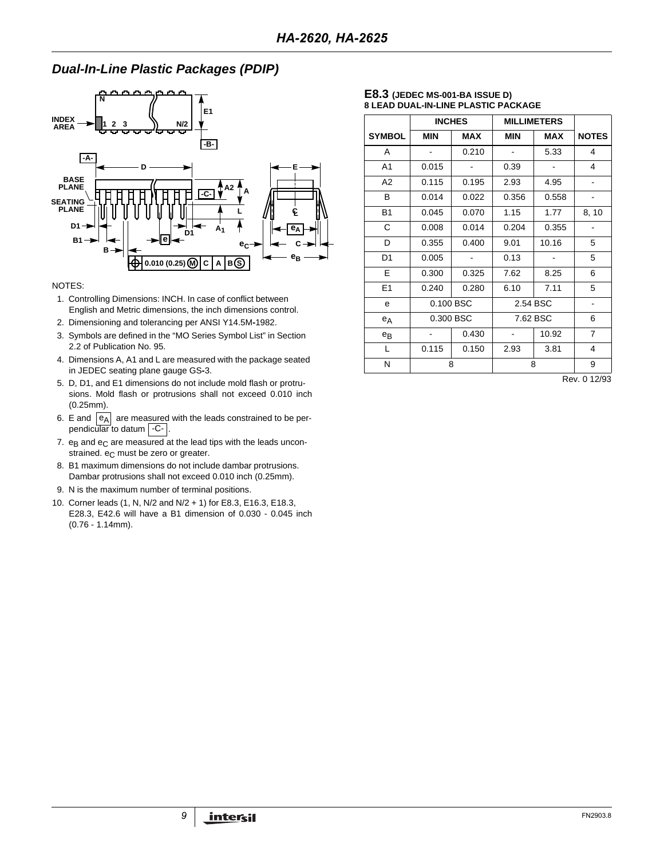# *Dual-In-Line Plastic Packages (PDIP)*



## NOTES:

- 1. Controlling Dimensions: INCH. In case of conflict between English and Metric dimensions, the inch dimensions control.
- 2. Dimensioning and tolerancing per ANSI Y14.5M**-**1982.
- 3. Symbols are defined in the "MO Series Symbol List" in Section 2.2 of Publication No. 95.
- 4. Dimensions A, A1 and L are measured with the package seated in JEDEC seating plane gauge GS**-**3.
- 5. D, D1, and E1 dimensions do not include mold flash or protrusions. Mold flash or protrusions shall not exceed 0.010 inch (0.25mm).
- 6. E and  $|e_A|$  are measured with the leads constrained to be perpendicular to datum | -C- |.
- 7.  $e_B$  and  $e_C$  are measured at the lead tips with the leads unconstrained. e<sub>C</sub> must be zero or greater.
- 8. B1 maximum dimensions do not include dambar protrusions. Dambar protrusions shall not exceed 0.010 inch (0.25mm).
- 9. N is the maximum number of terminal positions.
- 10. Corner leads (1, N, N/2 and N/2 + 1) for E8.3, E16.3, E18.3, E28.3, E42.6 will have a B1 dimension of 0.030 - 0.045 inch (0.76 - 1.14mm).

## **E8.3 (JEDEC MS-001-BA ISSUE D) 8 LEAD DUAL-IN-LINE PLASTIC PACKAGE**

|                |            | <b>INCHES</b> | <b>MILLIMETERS</b> |            |                |
|----------------|------------|---------------|--------------------|------------|----------------|
| <b>SYMBOL</b>  | <b>MIN</b> | <b>MAX</b>    | <b>MIN</b>         | <b>MAX</b> | <b>NOTES</b>   |
| A              |            | 0.210         |                    | 5.33       | 4              |
| A <sub>1</sub> | 0.015      |               | 0.39               |            | 4              |
| A <sub>2</sub> | 0.115      | 0.195         | 2.93               | 4.95       | $\blacksquare$ |
| B              | 0.014      | 0.022         | 0.356              | 0.558      |                |
| <b>B1</b>      | 0.045      | 0.070         | 1.15               | 1.77       | 8, 10          |
| С              | 0.008      | 0.014         | 0.204              | 0.355      |                |
| D              | 0.355      | 0.400         | 9.01               | 10.16      | 5              |
| D1             | 0.005      |               | 0.13               |            | 5              |
| E.             | 0.300      | 0.325         | 7.62               | 8.25       | 6              |
| E1             | 0.240      | 0.280         | 6.10               | 7.11       | 5              |
| е              |            | 0.100 BSC     | 2.54 BSC           |            | $\blacksquare$ |
| $e_A$          |            | 0.300 BSC     | 7.62 BSC           |            | 6              |
| $e_{B}$        |            | 0.430         |                    | 10.92      | $\overline{7}$ |
| L              | 0.115      | 0.150         | 2.93               | 3.81       | 4              |
| Ν              |            | 8             | 8                  | 9          |                |

Rev. 0 12/93